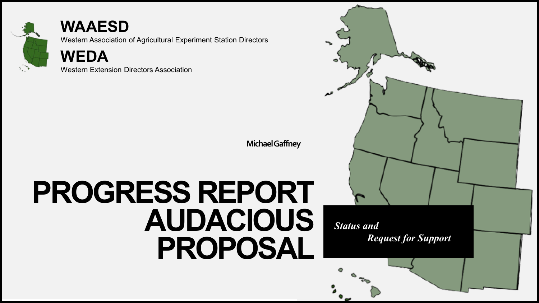

#### **WAAESD**

Western Association of Agricultural Experiment Station Directors

**WEDA**

Western Extension Directors Association

**Michael Gaffney**

## **PROGRESS REPORT AUDACIOUS PROPOSAL**

*Status and Request for Support*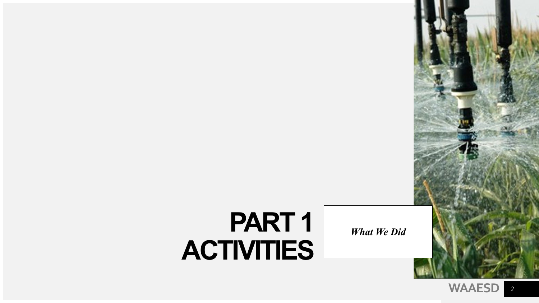## **PART 1 ACTIVITIES**

*What We Did*

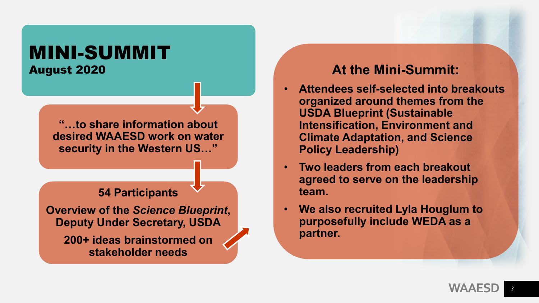### MINI-SUMMIT August 2020

**"…to share information about desired WAAESD work on water security in the Western US…"**

#### **54 Participants**

**Overview of the** *Science Blueprint***, Deputy Under Secretary, USDA**

**200+ ideas brainstormed on stakeholder needs**

#### **At the Mini-Summit:**

- **Attendees self-selected into breakouts organized around themes from the USDA Blueprint (Sustainable Intensification, Environment and Climate Adaptation, and Science Policy Leadership)**
- **Two leaders from each breakout agreed to serve on the leadership team.**
- **We also recruited Lyla Houglum to purposefully include WEDA as a partner.**

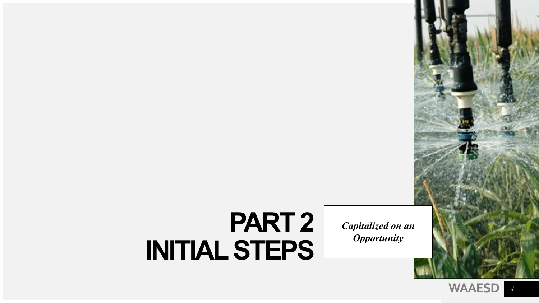## **PART 2 INITIAL STEPS**

*Capitalized on an Opportunity*

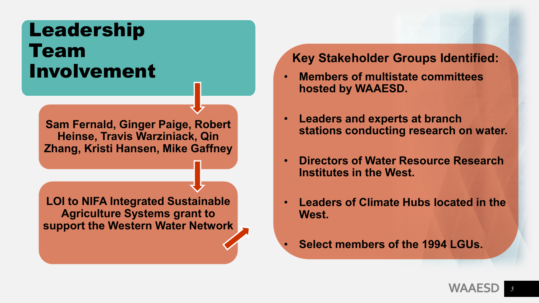### Leadership Team Involvement

**Sam Fernald, Ginger Paige, Robert Heinse, Travis Warziniack, Qin Zhang, Kristi Hansen, Mike Gaffney** 

**LOI to NIFA Integrated Sustainable Agriculture Systems grant to support the Western Water Network** 

#### **Key Stakeholder Groups Identified:**

- **Members of multistate committees hosted by WAAESD.**
- **Leaders and experts at branch stations conducting research on water.**
- **Directors of Water Resource Research Institutes in the West.**
- **Leaders of Climate Hubs located in the West.**
- **Select members of the 1994 LGUs.**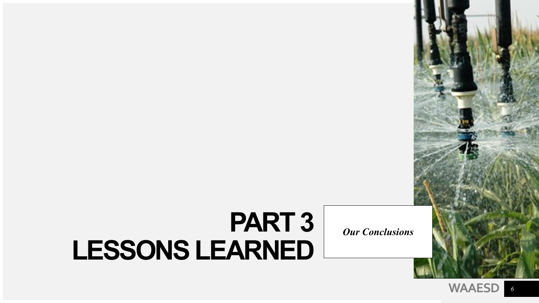## **PART 3 LESSONS LEARNED**

*Our Conclusions*



*6*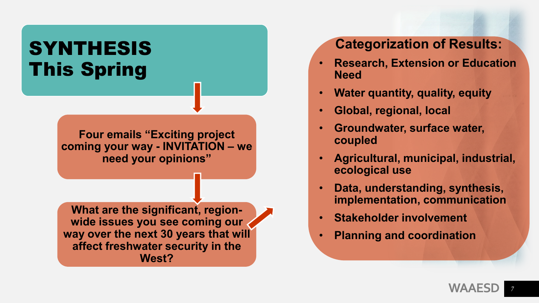### **SYNTHESIS** This Spring

**Four emails "Exciting project coming your way - INVITATION – we need your opinions"**

**What are the significant, regionwide issues you see coming our way over the next 30 years that will affect freshwater security in the West?**

### **Categorization of Results:**

- **Research, Extension or Education Need**
- **Water quantity, quality, equity**
- **Global, regional, local**
- **Groundwater, surface water, coupled**
- **Agricultural, municipal, industrial, ecological use**
- **Data, understanding, synthesis, implementation, communication**
- **Stakeholder involvement**
- **Planning and coordination**

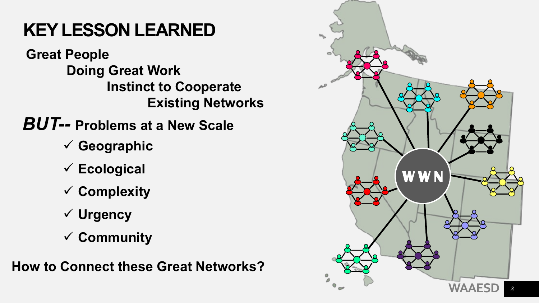### **KEY LESSON LEARNED**

**Great People Doing Great Work Instinct to Cooperate Existing Networks**

*BUT--* **Problems at a New Scale**

- **Geographic**
- **Ecological**
- **Complexity**
- **Urgency**
- **Community**

**How to Connect these Great Networks?**

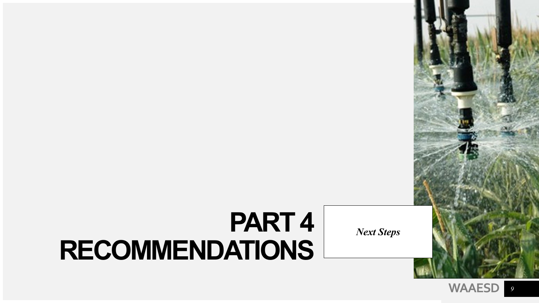## **PART 4 RECOMMENDATIONS**

*Next Steps*

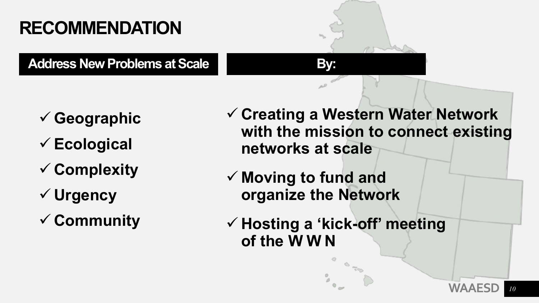### **RECOMMENDATION**

Address New Problems at Scale **By:** 

- **Geographic**
- **Ecological**
- **Complexity**
- **Urgency**
- **Community**
- **Creating a Western Water Network with the mission to connect existing networks at scale**
- **Moving to fund and organize the Network**
- **Hosting a 'kick-off' meeting of the WWN**

**WAAESD**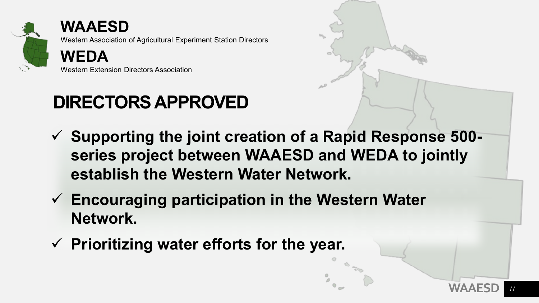

**WAAESD** Western Association of Agricultural Experiment Station Directors **WEDA**

Western Extension Directors Association

### **DIRECTORS APPROVED**

- **Supporting the joint creation of a Rapid Response 500 series project between WAAESD and WEDA to jointly establish the Western Water Network.**
- **Encouraging participation in the Western Water Network.**
- **Prioritizing water efforts for the year.**

**WAAESD**